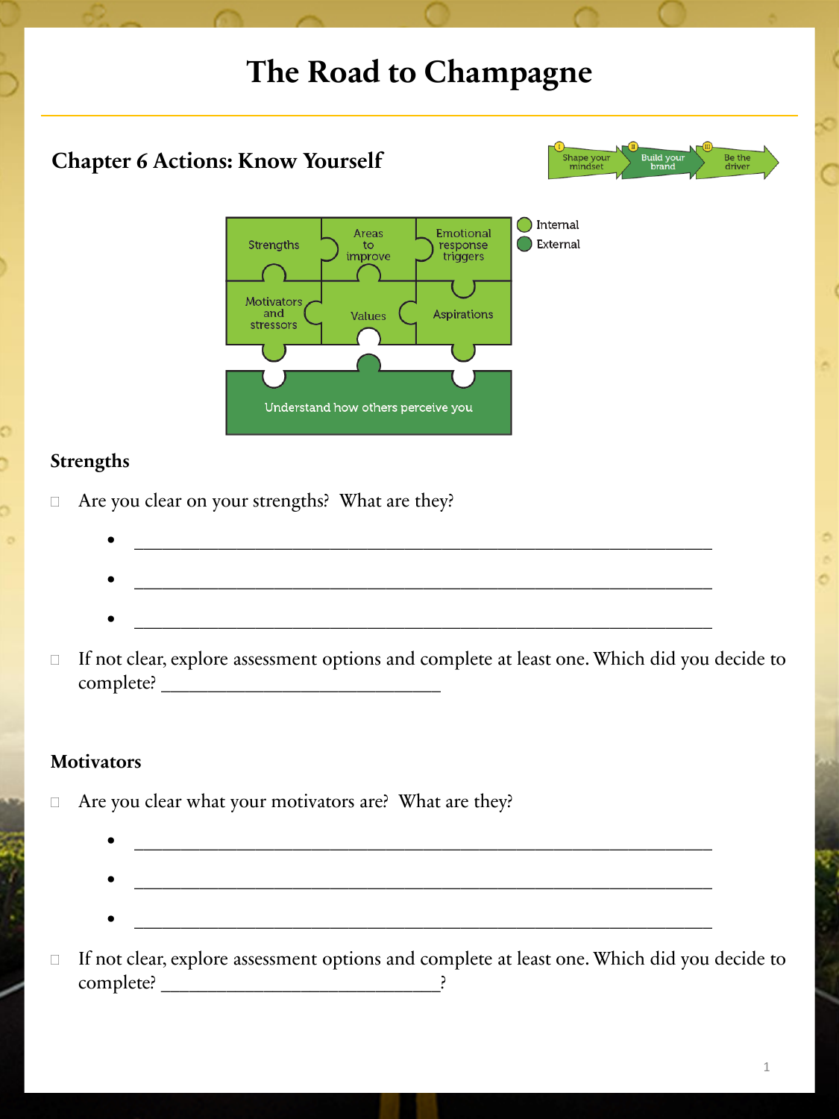## **The Road to Champagne Chapter 6 Actions: Know Yourself** Be the<br>driver  $\bigcap$  Internal Areas Emotional Strengths External to response improve triggers Motivators **Aspirations** and Values stressors Understand how others perceive you **Strengths** □ Are you clear on your strengths? What are they? • \_\_\_\_\_\_\_\_\_\_\_\_\_\_\_\_\_\_\_\_\_\_\_\_\_\_\_\_\_\_\_\_\_\_\_\_\_\_\_\_\_\_\_\_\_\_\_\_\_\_\_\_\_\_\_\_\_\_\_\_\_\_ •  $\qquad \qquad \Box$  If not clear, explore assessment options and complete at least one. Which did you decide to complete? \_\_\_\_\_\_\_\_\_\_\_\_\_\_\_\_\_\_\_\_\_\_\_\_\_\_\_\_\_\_

### **Motivators**

□ Are you clear what your motivators are? What are they?

• \_\_\_\_\_\_\_\_\_\_\_\_\_\_\_\_\_\_\_\_\_\_\_\_\_\_\_\_\_\_\_\_\_\_\_\_\_\_\_\_\_\_\_\_\_\_\_\_\_\_\_\_\_\_\_\_\_\_\_\_\_\_

□ If not clear, explore assessment options and complete at least one. Which did you decide to complete? \_\_\_\_\_\_\_\_\_\_\_\_\_\_\_\_\_\_\_\_\_\_\_\_\_\_\_\_\_\_?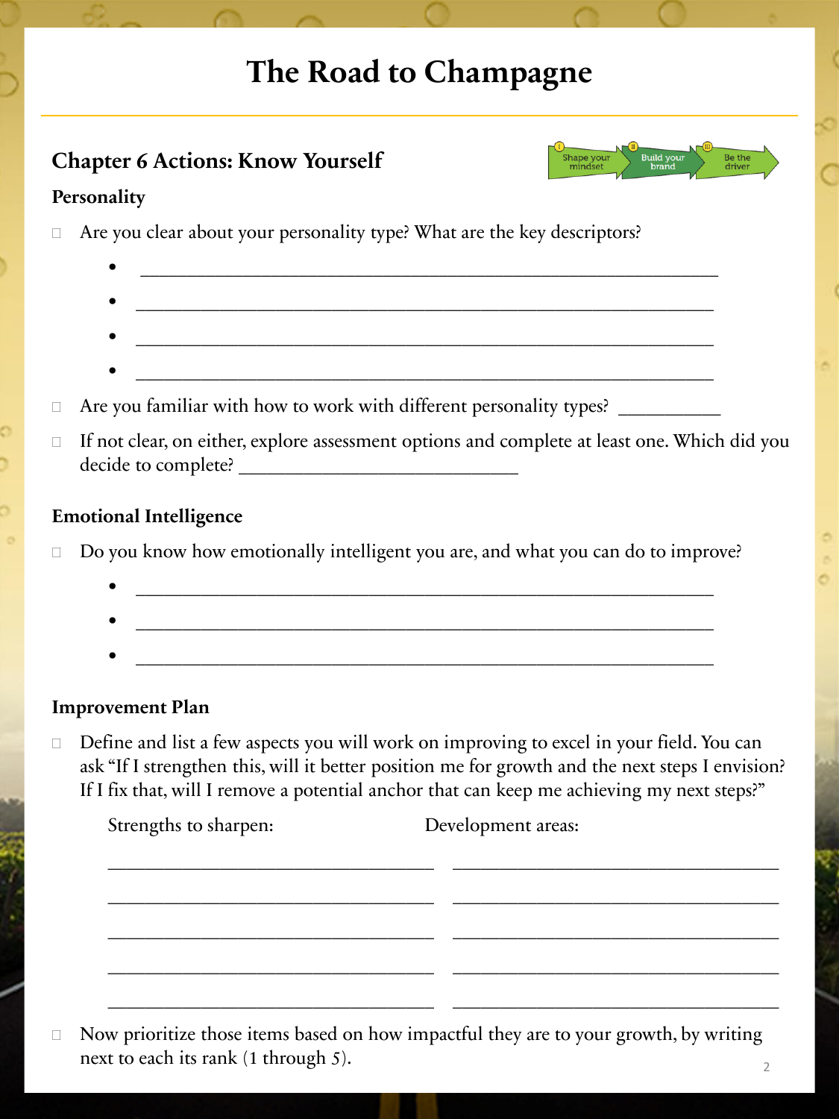# **The Road to Champagne**

| <b>Chapter 6 Actions: Know Yourself</b>                                            | $\sqrt{2}$<br><b>Build your</b><br>Shape your<br>mindset<br>brand |
|------------------------------------------------------------------------------------|-------------------------------------------------------------------|
| Personality                                                                        |                                                                   |
| Are you clear about your personality type? What are the key descriptors?<br>$\Box$ |                                                                   |
| ٠                                                                                  |                                                                   |
| ٠                                                                                  |                                                                   |
| $\bullet$                                                                          |                                                                   |

- $\bullet$  . The contract of the contract of the contract of the contract of the contract of the contract of the contract of the contract of the contract of the contract of the contract of the contract of the contract of the co
- $\Box$  Are you familiar with how to work with different personality types?
- If not clear, on either, explore assessment options and complete at least one. Which did you decide to complete? \_\_\_\_\_\_\_\_\_\_\_\_\_\_\_\_\_\_\_\_\_\_\_\_\_\_\_\_\_\_

#### **Emotional Intelligence**

 $\Box$  Do you know how emotionally intelligent you are, and what you can do to improve?

 $\bullet$  . The contract of the contract of the contract of the contract of the contract of the contract of the contract of the contract of the contract of the contract of the contract of the contract of the contract of the co

#### **Improvement Plan**

 Define and list a few aspects you will work on improving to excel in your field. You can ask "If I strengthen this, will it better position me for growth and the next steps I envision? If I fix that, will I remove a potential anchor that can keep me achieving my next steps?"

| Strengths to sharpen: | Development areas: |
|-----------------------|--------------------|
|                       |                    |
|                       |                    |
|                       |                    |
|                       |                    |

 $\Box$  Now prioritize those items based on how impactful they are to your growth, by writing next to each its rank (1 through 5).